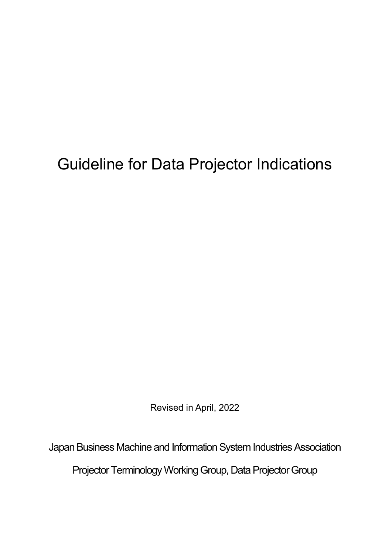# Guideline for Data Projector Indications

Revised in April, 2022

Japan Business Machine and Information System Industries Association

Projector Terminology Working Group, Data Projector Group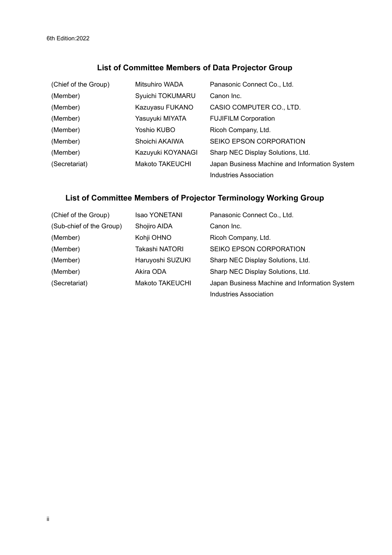## **List of Committee Members of Data Projector Group**

| (Chief of the Group) | Mitsuhiro WADA    | Panasonic Connect Co., Ltd.                   |
|----------------------|-------------------|-----------------------------------------------|
| (Member)             | Syuichi TOKUMARU  | Canon Inc.                                    |
| (Member)             | Kazuyasu FUKANO   | CASIO COMPUTER CO., LTD.                      |
| (Member)             | Yasuyuki MIYATA   | <b>FUJIFILM Corporation</b>                   |
| (Member)             | Yoshio KUBO       | Ricoh Company, Ltd.                           |
| (Member)             | Shoichi AKAIWA    | SEIKO EPSON CORPORATION                       |
| (Member)             | Kazuyuki KOYANAGI | Sharp NEC Display Solutions, Ltd.             |
| (Secretariat)        | Makoto TAKEUCHI   | Japan Business Machine and Information System |
|                      |                   | Industries Association                        |

### **List of Committee Members of Projector Terminology Working Group**

| (Chief of the Group)     | <b>Isao YONETANI</b> | Panasonic Connect Co., Ltd.                   |
|--------------------------|----------------------|-----------------------------------------------|
| (Sub-chief of the Group) | Shojiro AIDA         | Canon Inc.                                    |
| (Member)                 | Kohji OHNO           | Ricoh Company, Ltd.                           |
| (Member)                 | Takashi NATORI       | SEIKO EPSON CORPORATION                       |
| (Member)                 | Haruyoshi SUZUKI     | Sharp NEC Display Solutions, Ltd.             |
| (Member)                 | Akira ODA            | Sharp NEC Display Solutions, Ltd.             |
| (Secretariat)            | Makoto TAKEUCHI      | Japan Business Machine and Information System |
|                          |                      | Industries Association                        |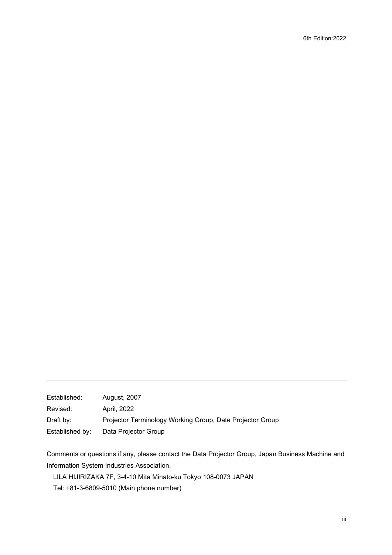Established: August, 2007 Revised: April, 2022 Draft by: Projector Terminology Working Group, Date Projector Group Established by: Data Projector Group

Comments or questions if any, please contact the Data Projector Group, Japan Business Machine and Information System Industries Association,

LILA HIJIRIZAKA 7F, 3-4-10 Mita Minato-ku Tokyo 108-0073 JAPAN

Tel: +81-3-6809-5010 (Main phone number)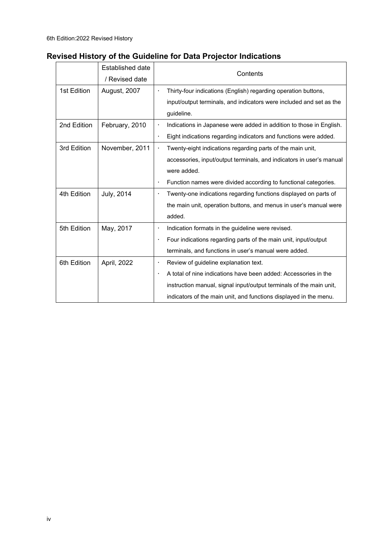| Revised History of the Guideline for Data Projector Indications |  |
|-----------------------------------------------------------------|--|
|-----------------------------------------------------------------|--|

|             | Established date  | Contents                                                                         |  |
|-------------|-------------------|----------------------------------------------------------------------------------|--|
|             | / Revised date    |                                                                                  |  |
| 1st Edition | August, 2007      | Thirty-four indications (English) regarding operation buttons,<br>$\bullet$      |  |
|             |                   | input/output terminals, and indicators were included and set as the              |  |
|             |                   | quideline.                                                                       |  |
| 2nd Edition | February, 2010    | Indications in Japanese were added in addition to those in English.<br>$\bullet$ |  |
|             |                   | Eight indications regarding indicators and functions were added.<br>$\bullet$    |  |
| 3rd Edition | November, 2011    | Twenty-eight indications regarding parts of the main unit,<br>$\bullet$          |  |
|             |                   | accessories, input/output terminals, and indicators in user's manual             |  |
|             |                   | were added.                                                                      |  |
|             |                   | Function names were divided according to functional categories.                  |  |
| 4th Edition | <b>July, 2014</b> | Twenty-one indications regarding functions displayed on parts of<br>$\bullet$    |  |
|             |                   | the main unit, operation buttons, and menus in user's manual were                |  |
|             |                   | added.                                                                           |  |
| 5th Edition | May, 2017         | Indication formats in the guideline were revised.<br>$\bullet$                   |  |
|             |                   | Four indications regarding parts of the main unit, input/output<br>$\bullet$     |  |
|             |                   | terminals, and functions in user's manual were added.                            |  |
| 6th Edition | April, 2022       | Review of guideline explanation text.<br>$\bullet$                               |  |
|             |                   | A total of nine indications have been added: Accessories in the                  |  |
|             |                   | instruction manual, signal input/output terminals of the main unit,              |  |
|             |                   | indicators of the main unit, and functions displayed in the menu.                |  |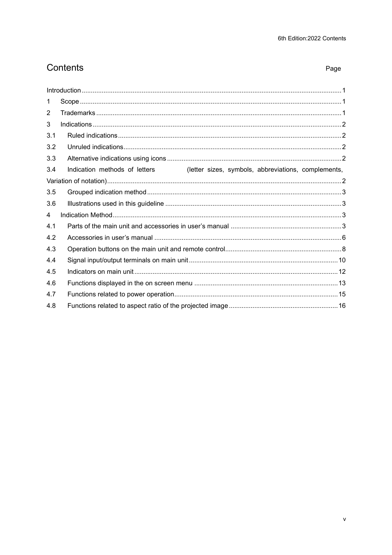## Contents

### Page

| 1   |                                                                                      |
|-----|--------------------------------------------------------------------------------------|
| 2   |                                                                                      |
| 3   |                                                                                      |
| 3.1 |                                                                                      |
| 3.2 |                                                                                      |
| 3.3 |                                                                                      |
| 3.4 | (letter sizes, symbols, abbreviations, complements,<br>Indication methods of letters |
|     |                                                                                      |
| 3.5 |                                                                                      |
| 3.6 |                                                                                      |
| 4   |                                                                                      |
| 4.1 |                                                                                      |
| 4.2 |                                                                                      |
| 4.3 |                                                                                      |
| 4.4 |                                                                                      |
| 4.5 |                                                                                      |
| 4.6 |                                                                                      |
| 4.7 |                                                                                      |
| 4.8 |                                                                                      |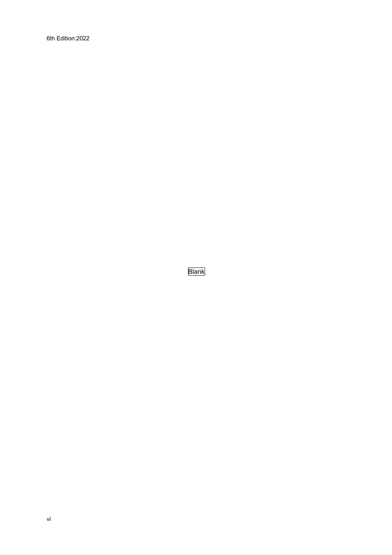6th Edition:2022

**Blank**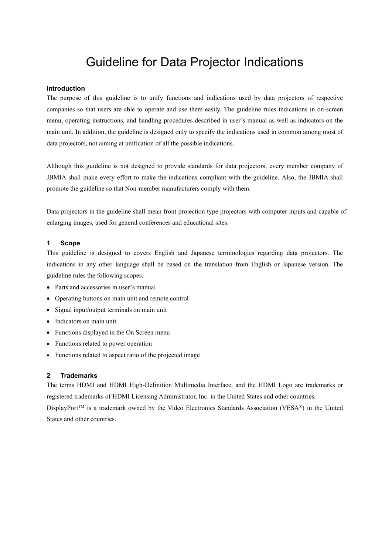## Guideline for Data Projector Indications

#### <span id="page-6-0"></span>**Introduction**

The purpose of this guideline is to unify functions and indications used by data projectors of respective companies so that users are able to operate and use them easily. The guideline rules indications in on-screen menu, operating instructions, and handling procedures described in user's manual as well as indicators on the main unit. In addition, the guideline is designed only to specify the indications used in common among most of data projectors, not aiming at unification of all the possible indications.

Although this guideline is not designed to provide standards for data projectors, every member company of JBMIA shall make every effort to make the indications compliant with the guideline. Also, the JBMIA shall promote the guideline so that Non-member manufacturers comply with them.

Data projectors in the guideline shall mean front projection type projectors with computer inputs and capable of enlarging images, used for general conferences and educational sites.

#### <span id="page-6-1"></span>**1 Scope**

This guideline is designed to covers English and Japanese terminologies regarding data projectors. The indications in any other language shall be based on the translation from English or Japanese version. The guideline rules the following scopes.

- Parts and accessories in user's manual
- Operating buttons on main unit and remote control
- Signal input/output terminals on main unit
- Indicators on main unit
- Functions displayed in the On Screen menu
- Functions related to power operation
- Functions related to aspect ratio of the projected image

#### <span id="page-6-2"></span>**2 Trademarks**

The terms HDMI and HDMI High-Definition Multimedia Interface, and the HDMI Logo are trademarks or registered trademarks of HDMI Licensing Administrator, Inc. in the United States and other countries. DisplayPort<sup>TM</sup> is a trademark owned by the Video Electronics Standards Association (VESA<sup>®</sup>) in the United States and other countries.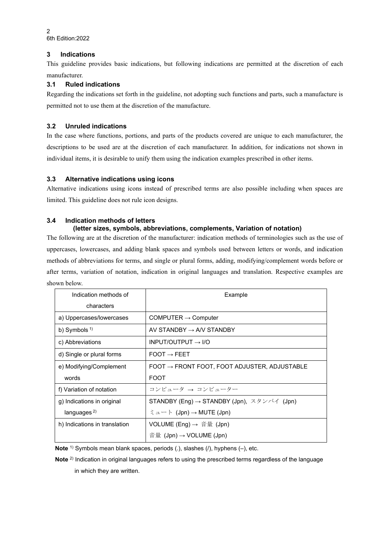#### <span id="page-7-0"></span>**3 Indications**

This guideline provides basic indications, but following indications are permitted at the discretion of each manufacturer.

#### <span id="page-7-1"></span>**3.1 Ruled indications**

Regarding the indications set forth in the guideline, not adopting such functions and parts, such a manufacture is permitted not to use them at the discretion of the manufacture.

#### <span id="page-7-2"></span>**3.2 Unruled indications**

In the case where functions, portions, and parts of the products covered are unique to each manufacturer, the descriptions to be used are at the discretion of each manufacturer. In addition, for indications not shown in individual items, it is desirable to unify them using the indication examples prescribed in other items.

#### <span id="page-7-3"></span>**3.3 Alternative indications using icons**

Alternative indications using icons instead of prescribed terms are also possible including when spaces are limited. This guideline does not rule icon designs.

#### <span id="page-7-4"></span>**3.4 Indication methods of letters**

#### **(letter sizes, symbols, abbreviations, complements, Variation of notation)**

The following are at the discretion of the manufacturer: indication methods of terminologies such as the use of uppercases, lowercases, and adding blank spaces and symbols used between letters or words, and indication methods of abbreviations for terms, and single or plural forms, adding, modifying/complement words before or after terms, variation of notation, indication in original languages and translation. Respective examples are shown below.

| Indication methods of         | Example                                                  |  |
|-------------------------------|----------------------------------------------------------|--|
| characters                    |                                                          |  |
| a) Uppercases/lowercases      | COMPUTER $\rightarrow$ Computer                          |  |
| b) Symbols $1$                | AV STANDBY $\rightarrow$ A/V STANDBY                     |  |
| c) Abbreviations              | INPUT/OUTPUT $\rightarrow$ I/O                           |  |
| d) Single or plural forms     | $FOOT \rightarrow FEET$                                  |  |
| e) Modifying/Complement       | $FOOT \rightarrow FRONT$ FOOT, FOOT ADJUSTER, ADJUSTABLE |  |
| words                         | <b>FOOT</b>                                              |  |
| f) Variation of notation      | コンピュータ → コンピューター                                         |  |
| g) Indications in original    | STANDBY (Eng) $\rightarrow$ STANDBY (Jpn), スタンバイ (Jpn)   |  |
| languages $^{2)}$             | $\zeta = -\; \vdash$ (Jpn) $\rightarrow$ MUTE (Jpn)      |  |
| h) Indications in translation | $VOLUME (Eng) \rightarrow $ 音量 (Jpn)                     |  |
|                               | 音量 (Jpn) → VOLUME (Jpn)                                  |  |

**Note**<sup>1)</sup> Symbols mean blank spaces, periods (.), slashes (/), hyphens (-), etc.

**Note** 2) Indication in original languages refers to using the prescribed terms regardless of the language in which they are written.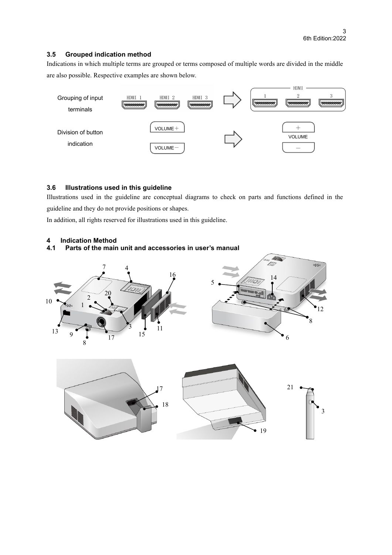#### <span id="page-8-0"></span>**3.5 Grouped indication method**

Indications in which multiple terms are grouped or terms composed of multiple words are divided in the middle are also possible. Respective examples are shown below.



#### <span id="page-8-1"></span>**3.6 Illustrations used in this guideline**

Illustrations used in the guideline are conceptual diagrams to check on parts and functions defined in the guideline and they do not provide positions or shapes.

In addition, all rights reserved for illustrations used in this guideline.

## <span id="page-8-2"></span>**4 Indication Method**

#### <span id="page-8-3"></span>**4.1 Parts of the main unit and accessories in user's manual**

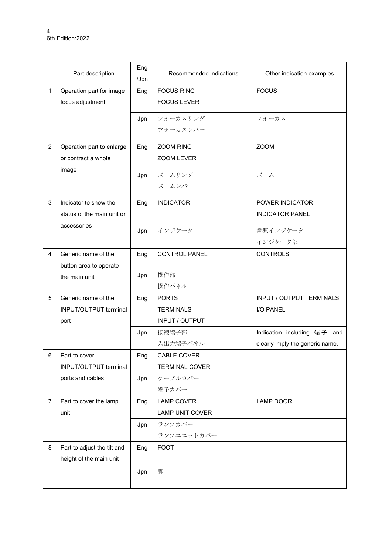|                | Part description            | Eng<br>/Jpn | Recommended indications | Other indication examples       |
|----------------|-----------------------------|-------------|-------------------------|---------------------------------|
| $\mathbf{1}$   | Operation part for image    | Eng         | <b>FOCUS RING</b>       | <b>FOCUS</b>                    |
|                | focus adjustment            |             | <b>FOCUS LEVER</b>      |                                 |
|                |                             | Jpn         | フォーカスリング                | フォーカス                           |
|                |                             |             | フォーカスレバー                |                                 |
| $\overline{2}$ | Operation part to enlarge   | Eng         | <b>ZOOM RING</b>        | <b>ZOOM</b>                     |
|                | or contract a whole         |             | ZOOM LEVER              |                                 |
|                | image                       | Jpn         | ズームリング                  | ズーム                             |
|                |                             |             | ズームレバー                  |                                 |
|                |                             |             |                         |                                 |
| 3              | Indicator to show the       | Eng         | <b>INDICATOR</b>        | <b>POWER INDICATOR</b>          |
|                | status of the main unit or  |             |                         | <b>INDICATOR PANEL</b>          |
|                | accessories                 | Jpn         | インジケータ                  | 電源インジケータ                        |
|                |                             |             |                         | インジケータ部                         |
| $\overline{4}$ | Generic name of the         | Eng         | <b>CONTROL PANEL</b>    | <b>CONTROLS</b>                 |
|                | button area to operate      |             |                         |                                 |
|                | the main unit               | Jpn         | 操作部                     |                                 |
|                |                             |             | 操作パネル                   |                                 |
| 5              | Generic name of the         | Eng         | <b>PORTS</b>            | <b>INPUT / OUTPUT TERMINALS</b> |
|                | INPUT/OUTPUT terminal       |             | <b>TERMINALS</b>        | I/O PANEL                       |
|                | port                        |             | INPUT / OUTPUT          |                                 |
|                |                             | Jpn         | 接続端子部                   | Indication including 端子 and     |
|                |                             |             | 入出力端子パネル                | clearly imply the generic name. |
| 6.             | Part to cover               | Eng         | CABLE COVER             |                                 |
|                | INPUT/OUTPUT terminal       |             | <b>TERMINAL COVER</b>   |                                 |
|                | ports and cables            | Jpn         | ケーブルカバー                 |                                 |
|                |                             |             | 端子カバー                   |                                 |
| $\overline{7}$ | Part to cover the lamp      | Eng         | <b>LAMP COVER</b>       | <b>LAMP DOOR</b>                |
|                | unit                        |             | <b>LAMP UNIT COVER</b>  |                                 |
|                |                             | Jpn         | ランプカバー                  |                                 |
|                |                             |             | ランプユニットカバー              |                                 |
| 8              | Part to adjust the tilt and | Eng         | <b>FOOT</b>             |                                 |
|                | height of the main unit     |             |                         |                                 |
|                |                             | Jpn         | 脚                       |                                 |
|                |                             |             |                         |                                 |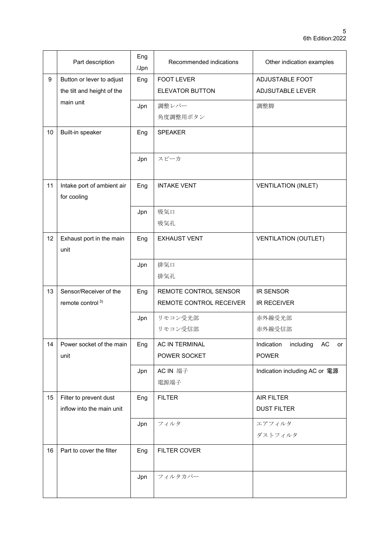|    | Part description                          | Eng<br>/Jpn | Recommended indications | Other indication examples     |
|----|-------------------------------------------|-------------|-------------------------|-------------------------------|
| 9  | Button or lever to adjust                 | Eng         | <b>FOOT LEVER</b>       | ADJUSTABLE FOOT               |
|    | the tilt and height of the                |             | <b>ELEVATOR BUTTON</b>  | ADJSUTABLE LEVER              |
|    | main unit                                 | Jpn         | 調整レバー                   | 調整脚                           |
|    |                                           |             | 角度調整用ボタン                |                               |
| 10 | Built-in speaker                          | Eng         | <b>SPEAKER</b>          |                               |
|    |                                           | Jpn         | スピーカ                    |                               |
| 11 | Intake port of ambient air<br>for cooling | Eng         | <b>INTAKE VENT</b>      | <b>VENTILATION (INLET)</b>    |
|    |                                           | Jpn         | 吸気口<br>吸気孔              |                               |
| 12 | Exhaust port in the main<br>unit          | Eng         | <b>EXHAUST VENT</b>     | <b>VENTILATION (OUTLET)</b>   |
|    |                                           | Jpn         | 排気口<br>排気孔              |                               |
| 13 | Sensor/Receiver of the                    | Eng         | REMOTE CONTROL SENSOR   | <b>IR SENSOR</b>              |
|    | remote control <sup>3)</sup>              |             | REMOTE CONTROL RECEIVER | <b>IR RECEIVER</b>            |
|    |                                           | Jpn         | リモコン受光部                 | 赤外線受光部                        |
|    |                                           |             | リモコン受信部                 | 赤外線受信部                        |
| 14 | Power socket of the main                  | Eng         | <b>AC IN TERMINAL</b>   | Indication including<br>AC or |
|    | unit                                      |             | POWER SOCKET            | <b>POWER</b>                  |
|    |                                           | Jpn         | AC IN 端子<br>電源端子        | Indication including AC or 電源 |
| 15 | Filter to prevent dust                    | Eng         | <b>FILTER</b>           | <b>AIR FILTER</b>             |
|    | inflow into the main unit                 |             |                         | <b>DUST FILTER</b>            |
|    |                                           | Jpn         | フィルタ                    | エアフィルタ                        |
|    |                                           |             |                         | ダストフィルタ                       |
| 16 | Part to cover the filter                  | Eng         | <b>FILTER COVER</b>     |                               |
|    |                                           | Jpn         | フィルタカバー                 |                               |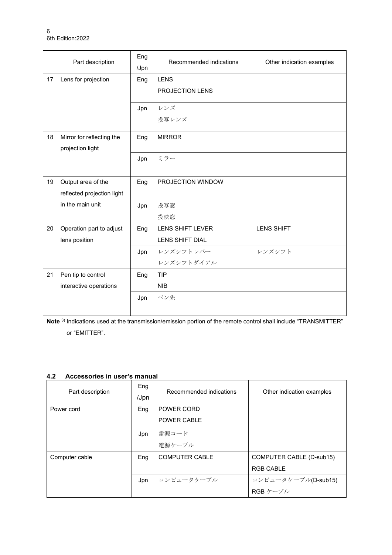|    | Part description           | Eng<br>/Jpn | Recommended indications | Other indication examples |
|----|----------------------------|-------------|-------------------------|---------------------------|
| 17 | Lens for projection        | Eng         | <b>LENS</b>             |                           |
|    |                            |             | <b>PROJECTION LENS</b>  |                           |
|    |                            | Jpn         | レンズ                     |                           |
|    |                            |             | 投写レンズ                   |                           |
| 18 | Mirror for reflecting the  | Eng         | <b>MIRROR</b>           |                           |
|    | projection light           |             |                         |                           |
|    |                            | Jpn         | ミラー                     |                           |
|    |                            |             |                         |                           |
| 19 | Output area of the         | Eng         | PROJECTION WINDOW       |                           |
|    | reflected projection light |             |                         |                           |
|    | in the main unit           | Jpn         | 投写窓                     |                           |
|    |                            |             | 投映窓                     |                           |
| 20 | Operation part to adjust   | Eng         | <b>LENS SHIFT LEVER</b> | <b>LENS SHIFT</b>         |
|    | lens position              |             | LENS SHIFT DIAL         |                           |
|    |                            | Jpn         | レンズシフトレバー               | レンズシフト                    |
|    |                            |             | レンズシフトダイアル              |                           |
| 21 | Pen tip to control         | Eng         | <b>TIP</b>              |                           |
|    | interactive operations     |             | <b>NIB</b>              |                           |
|    |                            | Jpn         | ペン先                     |                           |
|    |                            |             |                         |                           |

**Note** 3) Indications used at the transmission/emission portion of the remote control shall include "TRANSMITTER" or "EMITTER".

#### <span id="page-11-0"></span>**4.2 Accessories in user's manual**

| Part description | Eng<br>/Jpn | Recommended indications | Other indication examples |
|------------------|-------------|-------------------------|---------------------------|
| Power cord       | Eng         | POWER CORD              |                           |
|                  |             | POWER CABLE             |                           |
|                  | Jpn         | 雷源コード                   |                           |
|                  |             | 電源ケーブル                  |                           |
| Computer cable   | Eng         | <b>COMPUTER CABLE</b>   | COMPUTER CABLE (D-sub15)  |
|                  |             |                         | <b>RGB CABLE</b>          |
|                  | Jpn         | コンピュータケーブル              | コンピュータケーブル(D-sub15)       |
|                  |             |                         | RGB ケーブル                  |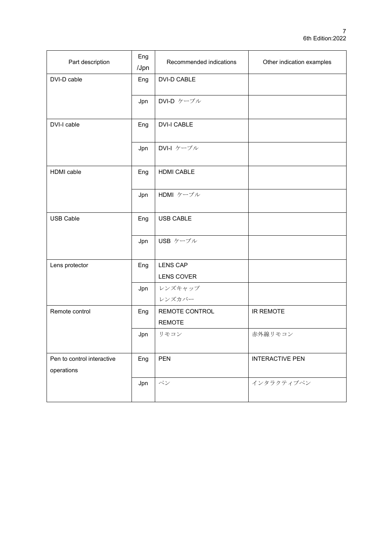| Part description                         | Eng<br>/Jpn | Recommended indications                    | Other indication examples |
|------------------------------------------|-------------|--------------------------------------------|---------------------------|
| DVI-D cable                              | Eng         | DVI-D CABLE                                |                           |
|                                          | Jpn         | DVI-D ケーブル                                 |                           |
| DVI-I cable                              | Eng         | <b>DVI-I CABLE</b>                         |                           |
|                                          | Jpn         | DVI-I ケーブル                                 |                           |
| HDMI cable                               | Eng         | <b>HDMI CABLE</b>                          |                           |
|                                          | Jpn         | HDMI ケーブル                                  |                           |
| <b>USB Cable</b>                         | Eng         | <b>USB CABLE</b>                           |                           |
|                                          | Jpn         | USB ケーブル                                   |                           |
| Lens protector                           | Eng         | <b>LENS CAP</b><br>LENS COVER              |                           |
|                                          | Jpn         | レンズキャップ<br>レンズカバー                          |                           |
| Remote control                           | Eng         | REMOTE CONTROL<br><b>REMOTE</b>            | <b>IR REMOTE</b>          |
|                                          | Jpn         | リモコン                                       | 赤外線リモコン                   |
| Pen to control interactive<br>operations | Eng         | PEN                                        | <b>INTERACTIVE PEN</b>    |
|                                          | Jpn         | $\stackrel{\circ}{\sim}\! \! \! \! \times$ | インタラクティブペン                |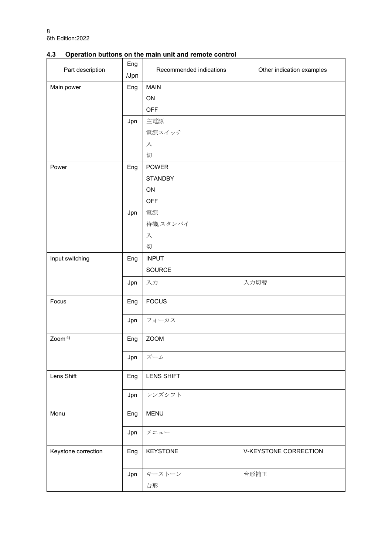8 6th Edition:2022

#### <span id="page-13-0"></span>**4.3 Operation buttons on the main unit and remote control**

| Part description    | Eng<br>/Jpn | Recommended indications | Other indication examples |
|---------------------|-------------|-------------------------|---------------------------|
| Main power          | Eng         | <b>MAIN</b>             |                           |
|                     |             | ON                      |                           |
|                     |             | <b>OFF</b>              |                           |
|                     | Jpn         | 主電源                     |                           |
|                     |             | 電源スイッチ                  |                           |
|                     |             | 入                       |                           |
|                     |             | 切                       |                           |
| Power               | Eng         | <b>POWER</b>            |                           |
|                     |             | <b>STANDBY</b>          |                           |
|                     |             | ON                      |                           |
|                     |             | <b>OFF</b>              |                           |
|                     | Jpn         | 電源                      |                           |
|                     |             | 待機,スタンバイ                |                           |
|                     |             | 入                       |                           |
|                     |             | 切                       |                           |
| Input switching     | Eng         | <b>INPUT</b>            |                           |
|                     |             | SOURCE                  |                           |
|                     | Jpn         | 入力                      | 入力切替                      |
| Focus               | Eng         | <b>FOCUS</b>            |                           |
|                     | Jpn         | フォーカス                   |                           |
| Zoom <sup>4)</sup>  | Eng         | ZOOM                    |                           |
|                     | Jpn         | ズーム                     |                           |
| Lens Shift          | Eng         | LENS SHIFT              |                           |
|                     | Jpn         | レンズシフト                  |                           |
| Menu                | Eng         | <b>MENU</b>             |                           |
|                     | Jpn         | メニュー                    |                           |
| Keystone correction | Eng         | <b>KEYSTONE</b>         | V-KEYSTONE CORRECTION     |
|                     | Jpn         | キーストーン                  | 台形補正                      |
|                     |             | 台形                      |                           |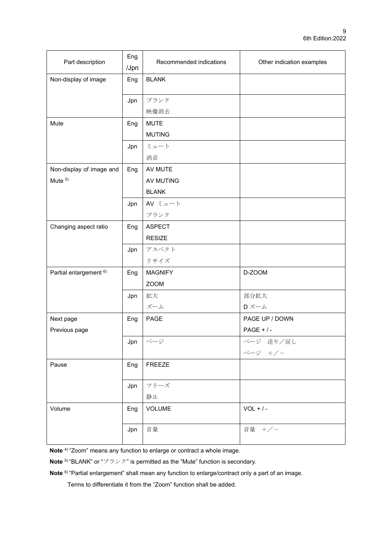| Part description         | Eng<br>/Jpn | Recommended indications | Other indication examples |
|--------------------------|-------------|-------------------------|---------------------------|
| Non-display of image     | Eng         | <b>BLANK</b>            |                           |
|                          | Jpn         | ブランク                    |                           |
|                          |             | 映像消去                    |                           |
| Mute                     | Eng         | <b>MUTE</b>             |                           |
|                          |             | <b>MUTING</b>           |                           |
|                          | Jpn         | ミュート                    |                           |
|                          |             | 消音                      |                           |
| Non-display of image and | Eng         | AV MUTE                 |                           |
| Mute <sup>5)</sup>       |             | AV MUTING               |                           |
|                          |             | <b>BLANK</b>            |                           |
|                          | Jpn         | AV ミュート                 |                           |
|                          |             | ブランク                    |                           |
| Changing aspect ratio    | Eng         | <b>ASPECT</b>           |                           |
|                          |             | <b>RESIZE</b>           |                           |
|                          | Jpn         | アスペクト                   |                           |
|                          |             | リサイズ                    |                           |
| Partial enlargement 6)   | Eng         | <b>MAGNIFY</b>          | D-ZOOM                    |
|                          |             | <b>ZOOM</b>             |                           |
|                          | Jpn         | 拡大                      | 部分拡大                      |
|                          |             | ズーム                     | Dズーム                      |
| Next page                | Eng         | PAGE                    | PAGE UP / DOWN            |
| Previous page            |             |                         | $PAGE + / -$              |
|                          | Jpn         | ページ                     | ページ 送り/戻し                 |
|                          |             |                         | ページ +/-                   |
| Pause                    | Eng         | <b>FREEZE</b>           |                           |
|                          | Jpn         | フリーズ                    |                           |
|                          |             | 静止                      |                           |
| Volume                   |             | VOLUME                  | $VOL + / -$               |
|                          | Eng         |                         |                           |
|                          | Jpn         | 音量                      | 音量 +/-                    |

**Note** 4) "Zoom" means any function to enlarge or contract a whole image.

**Note** 5) "BLANK" or "ブランク" is permitted as the "Mute" function is secondary.

**Note** 6) "Partial enlargement" shall mean any function to enlarge/contract only a part of an image.

Terms to differentiate it from the "Zoom" function shall be added.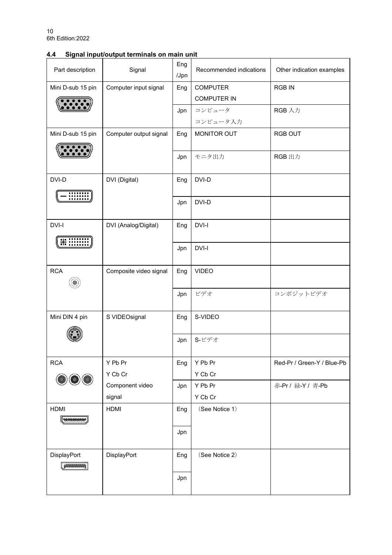<span id="page-15-0"></span>**4.4 Signal input/output terminals on main unit**

| Part description                 | Signal                 | Eng<br>/Jpn | Recommended indications               | Other indication examples  |
|----------------------------------|------------------------|-------------|---------------------------------------|----------------------------|
| Mini D-sub 15 pin                | Computer input signal  | Eng         | <b>COMPUTER</b><br><b>COMPUTER IN</b> | <b>RGB IN</b>              |
|                                  |                        | Jpn         | コンピュータ<br>コンピュータ入力                    | RGB 入力                     |
| Mini D-sub 15 pin                | Computer output signal | Eng         | MONITOR OUT                           | <b>RGB OUT</b>             |
|                                  |                        | Jpn         | モニタ出力                                 | RGB 出力                     |
| DVI-D                            | DVI (Digital)          | Eng         | DVI-D                                 |                            |
|                                  |                        | Jpn         | DVI-D                                 |                            |
| DVI-I                            | DVI (Analog/Digital)   | Eng         | DVI-I                                 |                            |
|                                  |                        | Jpn         | DVI-I                                 |                            |
| <b>RCA</b>                       | Composite video signal | Eng         | <b>VIDEO</b>                          |                            |
|                                  |                        | Jpn         | ビデオ                                   | コンポジットビデオ                  |
| Mini DIN 4 pin                   | S VIDEOsignal          | Eng         | S-VIDEO                               |                            |
|                                  |                        | Jpn         | S-ビデオ                                 |                            |
| <b>RCA</b>                       | Y Pb Pr                | Eng         | Y Pb Pr                               | Red-Pr / Green-Y / Blue-Pb |
|                                  | Y Cb Cr                |             | Y Cb Cr                               |                            |
|                                  | Component video        | Jpn         | Y Pb Pr                               | 赤-Pr / 緑-Y / 青-Pb          |
|                                  | signal                 |             | Y Cb Cr                               |                            |
| <b>HDMI</b><br><b>THRARRARAP</b> | HDMI                   | Eng         | (See Notice 1)                        |                            |
|                                  |                        | Jpn         |                                       |                            |
| DisplayPort                      | DisplayPort            | Eng         | (See Notice 2)                        |                            |
|                                  |                        | Jpn         |                                       |                            |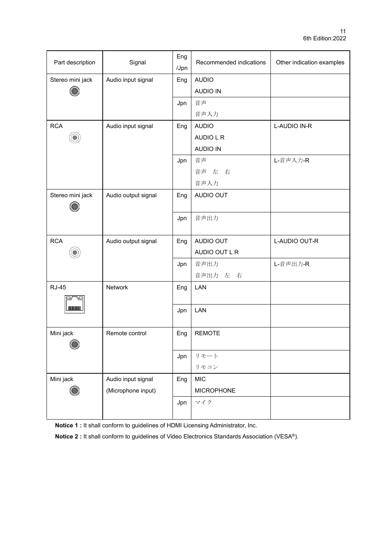| Signal         | Eng<br>/Jpn                                                                                                                        | Recommended indications                                                                        | Other indication examples                                                                                                                                                         |
|----------------|------------------------------------------------------------------------------------------------------------------------------------|------------------------------------------------------------------------------------------------|-----------------------------------------------------------------------------------------------------------------------------------------------------------------------------------|
|                |                                                                                                                                    |                                                                                                |                                                                                                                                                                                   |
|                |                                                                                                                                    | <b>AUDIO IN</b>                                                                                |                                                                                                                                                                                   |
|                |                                                                                                                                    |                                                                                                |                                                                                                                                                                                   |
|                |                                                                                                                                    |                                                                                                |                                                                                                                                                                                   |
|                |                                                                                                                                    | <b>AUDIO</b>                                                                                   | L-AUDIO IN-R                                                                                                                                                                      |
|                |                                                                                                                                    |                                                                                                |                                                                                                                                                                                   |
|                |                                                                                                                                    |                                                                                                |                                                                                                                                                                                   |
|                |                                                                                                                                    |                                                                                                | L-音声入力-R                                                                                                                                                                          |
|                |                                                                                                                                    |                                                                                                |                                                                                                                                                                                   |
|                |                                                                                                                                    |                                                                                                |                                                                                                                                                                                   |
|                |                                                                                                                                    |                                                                                                |                                                                                                                                                                                   |
|                |                                                                                                                                    |                                                                                                |                                                                                                                                                                                   |
|                |                                                                                                                                    |                                                                                                |                                                                                                                                                                                   |
|                |                                                                                                                                    |                                                                                                |                                                                                                                                                                                   |
|                |                                                                                                                                    |                                                                                                | L-AUDIO OUT-R                                                                                                                                                                     |
|                |                                                                                                                                    |                                                                                                |                                                                                                                                                                                   |
|                |                                                                                                                                    |                                                                                                | L-音声出力-R                                                                                                                                                                          |
|                |                                                                                                                                    |                                                                                                |                                                                                                                                                                                   |
| <b>Network</b> |                                                                                                                                    | LAN                                                                                            |                                                                                                                                                                                   |
|                |                                                                                                                                    |                                                                                                |                                                                                                                                                                                   |
|                |                                                                                                                                    | LAN                                                                                            |                                                                                                                                                                                   |
|                |                                                                                                                                    |                                                                                                |                                                                                                                                                                                   |
| Remote control |                                                                                                                                    |                                                                                                |                                                                                                                                                                                   |
|                |                                                                                                                                    |                                                                                                |                                                                                                                                                                                   |
|                |                                                                                                                                    | リモート                                                                                           |                                                                                                                                                                                   |
|                |                                                                                                                                    | リモコン                                                                                           |                                                                                                                                                                                   |
|                |                                                                                                                                    | <b>MIC</b>                                                                                     |                                                                                                                                                                                   |
|                |                                                                                                                                    | <b>MICROPHONE</b>                                                                              |                                                                                                                                                                                   |
|                |                                                                                                                                    |                                                                                                |                                                                                                                                                                                   |
|                |                                                                                                                                    |                                                                                                |                                                                                                                                                                                   |
|                | Audio input signal<br>Audio input signal<br>Audio output signal<br>Audio output signal<br>Audio input signal<br>(Microphone input) | Eng<br>Jpn<br>Eng<br>Jpn<br>Eng<br>Jpn<br>Eng<br>Jpn<br>Eng<br>Jpn<br>Eng<br>Jpn<br>Eng<br>Jpn | <b>AUDIO</b><br>音声<br>音声入力<br>AUDIO L R<br><b>AUDIO IN</b><br>音声<br>音声 左 右<br>音声入力<br>AUDIO OUT<br>音声出力<br>AUDIO OUT<br>AUDIO OUT L R<br>音声出力<br>音声出力 左 右<br><b>REMOTE</b><br>マイク |

**Notice 1 :** It shall conform to guidelines of HDMI Licensing Administrator, Inc.

**Notice 2 :** It shall conform to guidelines of Video Electronics Standards Association (VESA®).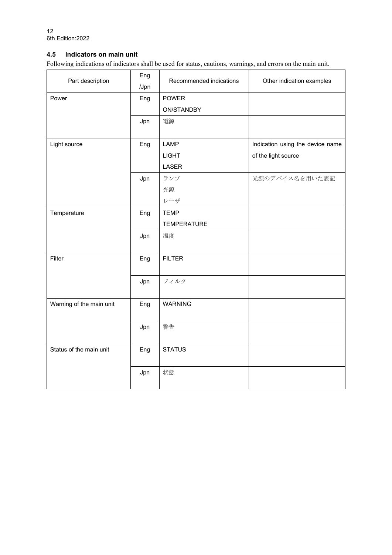12 6th Edition:2022

#### <span id="page-17-0"></span>**4.5 Indicators on main unit**

Following indications of indicators shall be used for status, cautions, warnings, and errors on the main unit.

| Part description         | Eng<br>/Jpn | Recommended indications | Other indication examples        |
|--------------------------|-------------|-------------------------|----------------------------------|
| Power                    | Eng         | <b>POWER</b>            |                                  |
|                          |             | <b>ON/STANDBY</b>       |                                  |
|                          | Jpn         | 電源                      |                                  |
|                          |             |                         |                                  |
| Light source             | Eng         | LAMP                    | Indication using the device name |
|                          |             | <b>LIGHT</b>            | of the light source              |
|                          |             | LASER                   |                                  |
|                          | Jpn         | ランプ                     | 光源のデバイス名を用いた表記                   |
|                          |             | 光源                      |                                  |
|                          |             | レーザ                     |                                  |
| Temperature              | Eng         | <b>TEMP</b>             |                                  |
|                          |             | <b>TEMPERATURE</b>      |                                  |
|                          | Jpn         | 温度                      |                                  |
|                          |             |                         |                                  |
| Filter                   | Eng         | <b>FILTER</b>           |                                  |
|                          |             |                         |                                  |
|                          | Jpn         | フィルタ                    |                                  |
|                          |             |                         |                                  |
| Warning of the main unit | Eng         | <b>WARNING</b>          |                                  |
|                          |             |                         |                                  |
|                          | Jpn         | 警告                      |                                  |
|                          |             |                         |                                  |
| Status of the main unit  | Eng         | <b>STATUS</b>           |                                  |
|                          |             |                         |                                  |
|                          | Jpn         | 状態                      |                                  |
|                          |             |                         |                                  |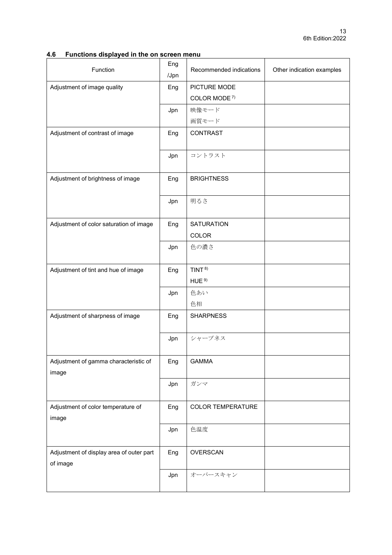#### <span id="page-18-0"></span>**4.6 Functions displayed in the on screen menu**

| Function                                             | Eng<br>/Jpn | Recommended indications  | Other indication examples |
|------------------------------------------------------|-------------|--------------------------|---------------------------|
| Adjustment of image quality                          | Eng         | PICTURE MODE             |                           |
|                                                      |             | COLOR MODE <sup>7)</sup> |                           |
|                                                      | Jpn         | 映像モード                    |                           |
|                                                      |             | 画質モード                    |                           |
| Adjustment of contrast of image                      | Eng         | <b>CONTRAST</b>          |                           |
|                                                      | Jpn         | コントラスト                   |                           |
| Adjustment of brightness of image                    | Eng         | <b>BRIGHTNESS</b>        |                           |
|                                                      | Jpn         | 明るさ                      |                           |
| Adjustment of color saturation of image              | Eng         | <b>SATURATION</b>        |                           |
|                                                      |             | COLOR                    |                           |
|                                                      | Jpn         | 色の濃さ                     |                           |
| Adjustment of tint and hue of image                  | Eng         | TINT <sup>8</sup>        |                           |
|                                                      |             | HUE <sup>9</sup>         |                           |
|                                                      | Jpn         | 色あい                      |                           |
|                                                      |             | 色相                       |                           |
| Adjustment of sharpness of image                     | Eng         | <b>SHARPNESS</b>         |                           |
|                                                      | Jpn         | シャープネス                   |                           |
| Adjustment of gamma characteristic of<br>image       | Eng         | <b>GAMMA</b>             |                           |
|                                                      | Jpn         | ガンマ                      |                           |
| Adjustment of color temperature of<br>image          | Eng         | <b>COLOR TEMPERATURE</b> |                           |
|                                                      | Jpn         | 色温度                      |                           |
| Adjustment of display area of outer part<br>of image | Eng         | OVERSCAN                 |                           |
|                                                      | Jpn         | オーバースキャン                 |                           |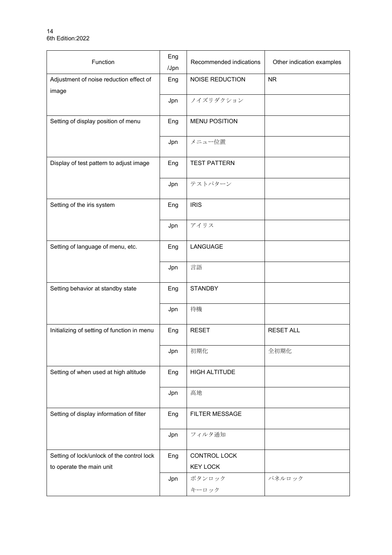| Function                                         | Eng<br>/Jpn | Recommended indications | Other indication examples |
|--------------------------------------------------|-------------|-------------------------|---------------------------|
| Adjustment of noise reduction effect of<br>image | Eng         | <b>NOISE REDUCTION</b>  | <b>NR</b>                 |
|                                                  | Jpn         | ノイズリダクション               |                           |
| Setting of display position of menu              | Eng         | <b>MENU POSITION</b>    |                           |
|                                                  | Jpn         | メニュー位置                  |                           |
| Display of test pattern to adjust image          | Eng         | <b>TEST PATTERN</b>     |                           |
|                                                  | Jpn         | テストパターン                 |                           |
| Setting of the iris system                       | Eng         | <b>IRIS</b>             |                           |
|                                                  | Jpn         | アイリス                    |                           |
| Setting of language of menu, etc.                | Eng         | LANGUAGE                |                           |
|                                                  | Jpn         | 言語                      |                           |
| Setting behavior at standby state                | Eng         | <b>STANDBY</b>          |                           |
|                                                  | Jpn         | 待機                      |                           |
| Initializing of setting of function in menu      | Eng         | <b>RESET</b>            | <b>RESET ALL</b>          |
|                                                  | Jpn         | 初期化                     | 全初期化                      |
| Setting of when used at high altitude            | Eng         | HIGH ALTITUDE           |                           |
|                                                  | Jpn         | 高地                      |                           |
| Setting of display information of filter         | Eng         | FILTER MESSAGE          |                           |
|                                                  | Jpn         | フィルタ通知                  |                           |
| Setting of lock/unlock of the control lock       | Eng         | CONTROL LOCK            |                           |
| to operate the main unit                         |             | <b>KEY LOCK</b>         |                           |
|                                                  | Jpn         | ボタンロック                  | パネルロック                    |
|                                                  |             | キーロック                   |                           |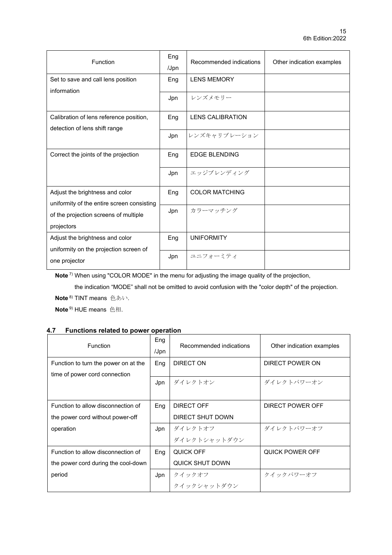| Function                                                                      | Eng<br>/Jpn | Recommended indications | Other indication examples |
|-------------------------------------------------------------------------------|-------------|-------------------------|---------------------------|
| Set to save and call lens position                                            | Eng         | <b>LENS MEMORY</b>      |                           |
| information                                                                   | Jpn         | レンズメモリー                 |                           |
| Calibration of lens reference position,                                       | Eng         | <b>LENS CALIBRATION</b> |                           |
| detection of lens shift range                                                 | Jpn         | レンズキャリブレーション            |                           |
| Correct the joints of the projection                                          | Eng         | <b>EDGE BLENDING</b>    |                           |
|                                                                               | Jpn         | エッジブレンディング              |                           |
| Adjust the brightness and color<br>uniformity of the entire screen consisting | Eng         | <b>COLOR MATCHING</b>   |                           |
| of the projection screens of multiple                                         | Jpn         | カラーマッチング                |                           |
| projectors                                                                    |             |                         |                           |
| Adjust the brightness and color                                               | Eng         | <b>UNIFORMITY</b>       |                           |
| uniformity on the projection screen of<br>one projector                       | Jpn         | ユニフォーミティ                |                           |

**Note** 7) When using "COLOR MODE" in the menu for adjusting the image quality of the projection,

the indication "MODE" shall not be omitted to avoid confusion with the "color depth" of the projection.

**Note**<sup>8)</sup> TINT means 色あい.

**Note**<sup>9)</sup> HUE means 色相.

#### <span id="page-20-0"></span>**4.7 Functions related to power operation**

| Function                             | Eng<br>/Jpn | Recommended indications | Other indication examples |
|--------------------------------------|-------------|-------------------------|---------------------------|
| Function to turn the power on at the | Eng         | DIRECT ON               | DIRECT POWER ON           |
| time of power cord connection        |             |                         |                           |
|                                      | Jpn         | ダイレクトオン                 | ダイレクトパワーオン                |
|                                      |             |                         |                           |
| Function to allow disconnection of   | Eng         | DIRECT OFF              | DIRECT POWER OFF          |
| the power cord without power-off     |             | DIRECT SHUT DOWN        |                           |
| operation                            | Jpn         | ダイレクトオフ                 | ダイレクトパワーオフ                |
|                                      |             | ダイレクトシャットダウン            |                           |
| Function to allow disconnection of   | Eng         | QUICK OFF               | QUICK POWER OFF           |
| the power cord during the cool-down  |             | QUICK SHUT DOWN         |                           |
| period                               | Jpn         | クイックオフ                  | クイックパワーオフ                 |
|                                      |             | クイックシャットダウン             |                           |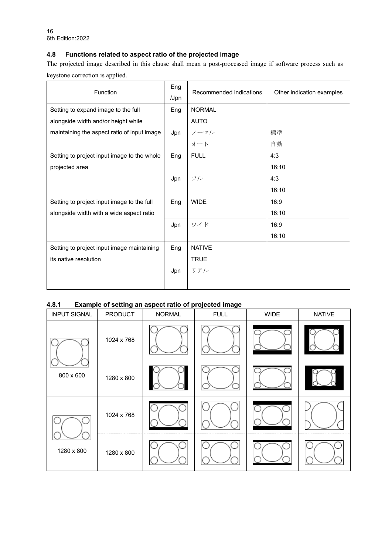#### <span id="page-21-0"></span>**4.8 Functions related to aspect ratio of the projected image**

The projected image described in this clause shall mean a post-processed image if software process such as keystone correction is applied.

| Function                                    |     | Recommended indications | Other indication examples |  |
|---------------------------------------------|-----|-------------------------|---------------------------|--|
|                                             |     |                         |                           |  |
| Setting to expand image to the full         | Eng | <b>NORMAL</b>           |                           |  |
| alongside width and/or height while         |     | <b>AUTO</b>             |                           |  |
| maintaining the aspect ratio of input image | Jpn | ノーマル                    | 標準                        |  |
|                                             |     | オート                     | 自動                        |  |
| Setting to project input image to the whole | Eng | <b>FULL</b>             | 4:3                       |  |
| projected area                              |     |                         | 16:10                     |  |
|                                             | Jpn | フル                      | 4:3                       |  |
|                                             |     |                         | 16:10                     |  |
| Setting to project input image to the full  | Eng | <b>WIDE</b>             | 16:9                      |  |
| alongside width with a wide aspect ratio    |     |                         | 16:10                     |  |
|                                             | Jpn | ワイド                     | 16:9                      |  |
|                                             |     |                         | 16:10                     |  |
| Setting to project input image maintaining  | Eng | <b>NATIVE</b>           |                           |  |
| its native resolution                       |     | <b>TRUE</b>             |                           |  |
|                                             | Jpn | リアル                     |                           |  |
|                                             |     |                         |                           |  |

#### **4.8.1 Example of setting an aspect ratio of projected image**

| <b>INPUT SIGNAL</b> | <b>PRODUCT</b> | <b>NORMAL</b> | <b>FULL</b> | <b>WIDE</b> | <b>NATIVE</b> |
|---------------------|----------------|---------------|-------------|-------------|---------------|
| 800 x 600           | 1024 x 768     |               |             |             |               |
|                     | 1280 x 800     |               |             |             |               |
|                     | 1024 x 768     |               |             |             |               |
| 1280 x 800          | 1280 x 800     |               |             |             |               |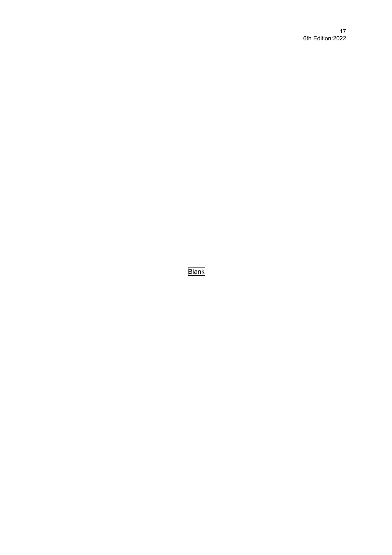**Blank**